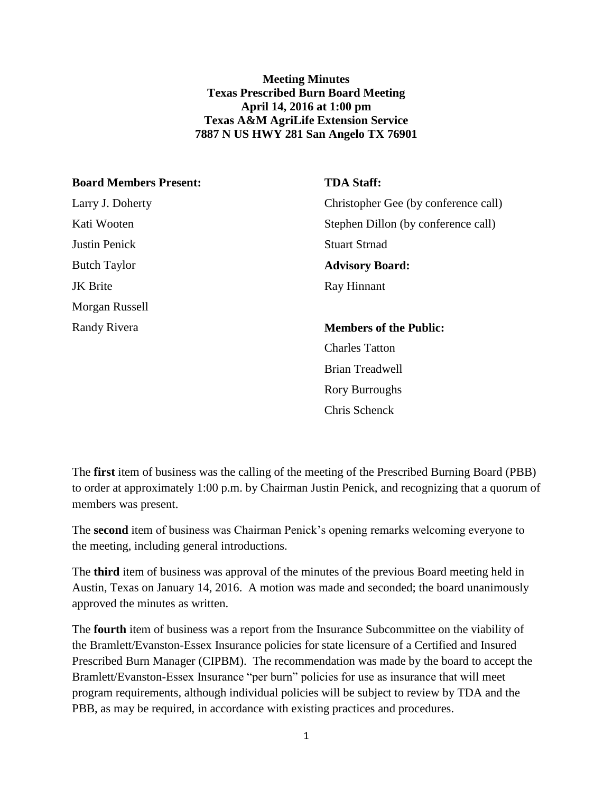**Meeting Minutes Texas Prescribed Burn Board Meeting April 14, 2016 at 1:00 pm Texas A&M AgriLife Extension Service 7887 N US HWY 281 San Angelo TX 76901**

| <b>Board Members Present:</b> | <b>TDA Staff:</b>                    |
|-------------------------------|--------------------------------------|
| Larry J. Doherty              | Christopher Gee (by conference call) |
| Kati Wooten                   | Stephen Dillon (by conference call)  |
| <b>Justin Penick</b>          | <b>Stuart Strnad</b>                 |
| <b>Butch Taylor</b>           | <b>Advisory Board:</b>               |
| <b>JK</b> Brite               | Ray Hinnant                          |
| Morgan Russell                |                                      |
| Randy Rivera                  | <b>Members of the Public:</b>        |
|                               | <b>Charles Tatton</b>                |
|                               | <b>Brian Treadwell</b>               |
|                               | <b>Rory Burroughs</b>                |
|                               | Chris Schenck                        |

The **first** item of business was the calling of the meeting of the Prescribed Burning Board (PBB) to order at approximately 1:00 p.m. by Chairman Justin Penick, and recognizing that a quorum of members was present.

The **second** item of business was Chairman Penick's opening remarks welcoming everyone to the meeting, including general introductions.

The **third** item of business was approval of the minutes of the previous Board meeting held in Austin, Texas on January 14, 2016. A motion was made and seconded; the board unanimously approved the minutes as written.

The **fourth** item of business was a report from the Insurance Subcommittee on the viability of the Bramlett/Evanston-Essex Insurance policies for state licensure of a Certified and Insured Prescribed Burn Manager (CIPBM). The recommendation was made by the board to accept the Bramlett/Evanston-Essex Insurance "per burn" policies for use as insurance that will meet program requirements, although individual policies will be subject to review by TDA and the PBB, as may be required, in accordance with existing practices and procedures.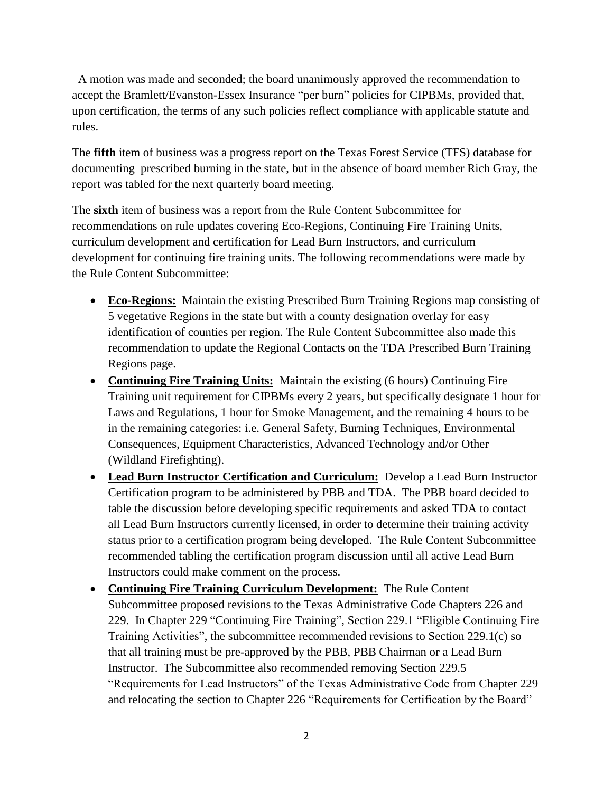A motion was made and seconded; the board unanimously approved the recommendation to accept the Bramlett/Evanston-Essex Insurance "per burn" policies for CIPBMs, provided that, upon certification, the terms of any such policies reflect compliance with applicable statute and rules.

The **fifth** item of business was a progress report on the Texas Forest Service (TFS) database for documenting prescribed burning in the state, but in the absence of board member Rich Gray, the report was tabled for the next quarterly board meeting.

The **sixth** item of business was a report from the Rule Content Subcommittee for recommendations on rule updates covering Eco-Regions, Continuing Fire Training Units, curriculum development and certification for Lead Burn Instructors, and curriculum development for continuing fire training units. The following recommendations were made by the Rule Content Subcommittee:

- **Eco-Regions:** Maintain the existing Prescribed Burn Training Regions map consisting of 5 vegetative Regions in the state but with a county designation overlay for easy identification of counties per region. The Rule Content Subcommittee also made this recommendation to update the Regional Contacts on the TDA Prescribed Burn Training Regions page.
- **Continuing Fire Training Units:** Maintain the existing (6 hours) Continuing Fire Training unit requirement for CIPBMs every 2 years, but specifically designate 1 hour for Laws and Regulations, 1 hour for Smoke Management, and the remaining 4 hours to be in the remaining categories: i.e. General Safety, Burning Techniques, Environmental Consequences, Equipment Characteristics, Advanced Technology and/or Other (Wildland Firefighting).
- **Lead Burn Instructor Certification and Curriculum:** Develop a Lead Burn Instructor Certification program to be administered by PBB and TDA. The PBB board decided to table the discussion before developing specific requirements and asked TDA to contact all Lead Burn Instructors currently licensed, in order to determine their training activity status prior to a certification program being developed. The Rule Content Subcommittee recommended tabling the certification program discussion until all active Lead Burn Instructors could make comment on the process.
- **Continuing Fire Training Curriculum Development:** The Rule Content Subcommittee proposed revisions to the Texas Administrative Code Chapters 226 and 229. In Chapter 229 "Continuing Fire Training", Section 229.1 "Eligible Continuing Fire Training Activities", the subcommittee recommended revisions to Section 229.1(c) so that all training must be pre-approved by the PBB, PBB Chairman or a Lead Burn Instructor. The Subcommittee also recommended removing Section 229.5 "Requirements for Lead Instructors" of the Texas Administrative Code from Chapter 229 and relocating the section to Chapter 226 "Requirements for Certification by the Board"